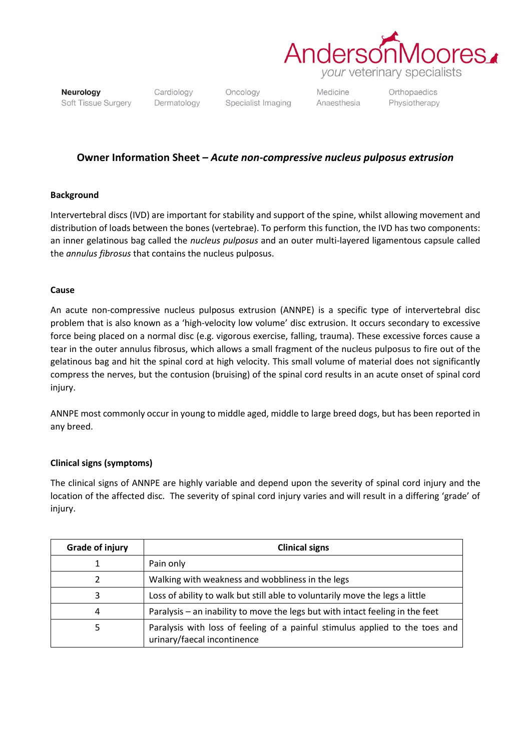

*your* veterinary specialists

Neurology Soft Tissue Surgery Cardiology Dermatology

Oncology Specialist Imaging Medicine Anaesthesia

Orthopaedics Physiotherapy

## **Owner Information Sheet –** *Acute non-compressive nucleus pulposus extrusion*

## **Background**

Intervertebral discs (IVD) are important for stability and support of the spine, whilst allowing movement and distribution of loads between the bones (vertebrae). To perform this function, the IVD has two components: an inner gelatinous bag called the *nucleus pulposus* and an outer multi-layered ligamentous capsule called the *annulus fibrosus* that contains the nucleus pulposus.

## **Cause**

An acute non-compressive nucleus pulposus extrusion (ANNPE) is a specific type of intervertebral disc problem that is also known as a 'high-velocity low volume' disc extrusion. It occurs secondary to excessive force being placed on a normal disc (e.g. vigorous exercise, falling, trauma). These excessive forces cause a tear in the outer annulus fibrosus, which allows a small fragment of the nucleus pulposus to fire out of the gelatinous bag and hit the spinal cord at high velocity. This small volume of material does not significantly compress the nerves, but the contusion (bruising) of the spinal cord results in an acute onset of spinal cord injury.

ANNPE most commonly occur in young to middle aged, middle to large breed dogs, but has been reported in any breed.

## **Clinical signs (symptoms)**

The clinical signs of ANNPE are highly variable and depend upon the severity of spinal cord injury and the location of the affected disc. The severity of spinal cord injury varies and will result in a differing 'grade' of injury.

| <b>Grade of injury</b> | <b>Clinical signs</b>                                                                                       |
|------------------------|-------------------------------------------------------------------------------------------------------------|
|                        | Pain only                                                                                                   |
| 2                      | Walking with weakness and wobbliness in the legs                                                            |
| 3                      | Loss of ability to walk but still able to voluntarily move the legs a little                                |
| 4                      | Paralysis – an inability to move the legs but with intact feeling in the feet                               |
| 5                      | Paralysis with loss of feeling of a painful stimulus applied to the toes and<br>urinary/faecal incontinence |